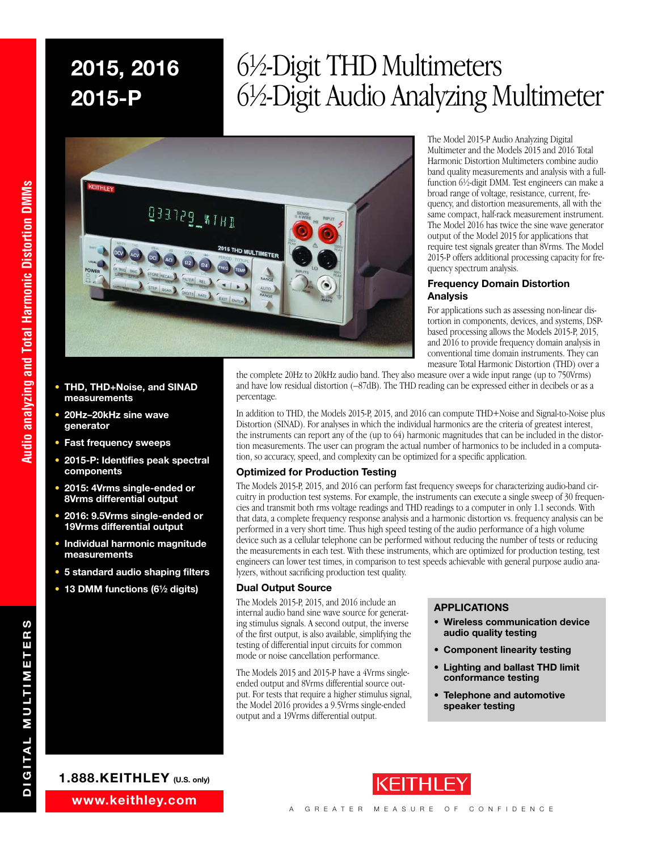# ⁄2-Digit THD Multimeters ⁄2-Digit Audio Analyzing Multimeter



The Model 2015-P Audio Analyzing Digital Multimeter and the Models 2015 and 2016 Total Harmonic Distortion Multimeters combine audio band quality measurements and analysis with a fullfunction 61 ⁄2-digit DMM. Test engineers can make a broad range of voltage, resistance, current, frequency, and distortion measurements, all with the same compact, half-rack measurement instrument. The Model 2016 has twice the sine wave generator output of the Model 2015 for applications that require test signals greater than 8Vrms. The Model 2015-P offers additional processing capacity for frequency spectrum analysis.

#### **Frequency Domain Distortion Analysis**

For applications such as assessing non-linear distortion in components, devices, and systems, DSPbased processing allows the Models 2015-P, 2015, and 2016 to provide frequency domain analysis in conventional time domain instruments. They can measure Total Harmonic Distortion (THD) over a

- **• THD, THD+Noise, and SINAD measurements**
- **• 20Hz–20kHz sine wave generator**
- **• Fast frequency sweeps**
- **• 2015-P: Identifies peak spectral components**
- **• 2015: 4Vrms single-ended or 8Vrms differential output**
- **• 2016: 9.5Vrms single-ended or 19Vrms differential output**
- **• Individual harmonic magnitude measurements**
- **• 5 standard audio shaping filters**
- **• 13 DMM functions (61⁄2 digits)**



the complete 20Hz to 20kHz audio band. They also measure over a wide input range (up to 750Vrms) and have low residual distortion (–87dB). The THD reading can be expressed either in decibels or as a percentage.

In addition to THD, the Models 2015-P, 2015, and 2016 can compute THD+Noise and Signal-to-Noise plus Distortion (SINAD). For analyses in which the individual harmonics are the criteria of greatest interest, the instruments can report any of the (up to 64) harmonic magnitudes that can be included in the distortion measurements. The user can program the actual number of harmonics to be included in a computation, so accuracy, speed, and complexity can be optimized for a specific application.

### **Optimized for Production Testing**

The Models 2015-P, 2015, and 2016 can perform fast frequency sweeps for characterizing audio-band circuitry in production test systems. For example, the instruments can execute a single sweep of 30 frequencies and transmit both rms voltage readings and THD readings to a computer in only 1.1 seconds. With that data, a complete frequency response analysis and a harmonic distortion vs. frequency analysis can be performed in a very short time. Thus high speed testing of the audio performance of a high volume device such as a cellular telephone can be performed without reducing the number of tests or reducing the measurements in each test. With these instruments, which are optimized for production testing, test engineers can lower test times, in comparison to test speeds achievable with general purpose audio analyzers, without sacrificing production test quality.

### **Dual Output Source**

The Models 2015-P, 2015, and 2016 include an internal audio band sine wave source for generating stimulus signals. A second output, the inverse of the first output, is also available, simplifying the testing of differential input circuits for common mode or noise cancellation performance.

The Models 2015 and 2015-P have a 4Vrms singleended output and 8Vrms differential source output. For tests that require a higher stimulus signal, the Model 2016 provides a 9.5Vrms single-ended output and a 19Vrms differential output.

### **APPLICATIONS**

- **• Wireless communication device audio quality testing**
- **• Component linearity testing**
- **• Lighting and ballast THD limit conformance testing**
- **Telephone and automotive speaker testing**

**DIGITAL MULTIMETERS**

DIGITAL MULTIMETERS

**Audio analyzing and Total Harmonic Distortion DMMs**

Audio analyzing and Total Harmonic Distortion DMMs





## **www.keithley.com**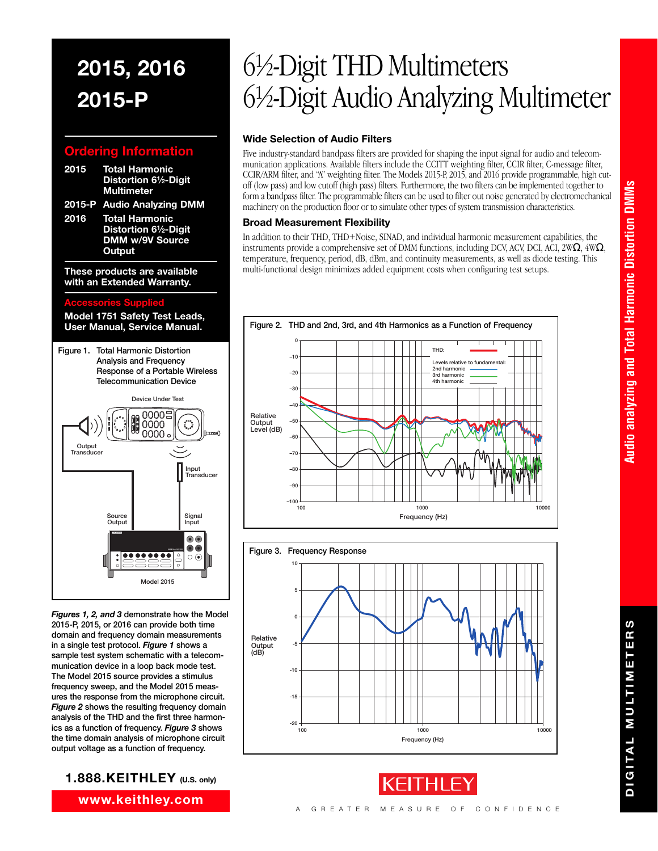## **Information**

- **2015 Total Harmonic Distortion 61⁄2-Digit Multimeter**
- **2015-P Audio Analyzing DMM**
- **2016 Total Harmonic Distortion 61⁄2-Digit DMM w/9V Source Output**

**These products are available with an Extended Warranty.**

### **Accessories Supplied**

**Model 1751 Safety Test Leads, User Manual, Service Manual.**



*Figures 1, 2, and 3* **demonstrate how the Model 2015-P, 2015, or 2016 can provide both time domain and frequency domain measurements in a single test protocol.** *Figure 1* **shows a sample test system schematic with a telecommunication device in a loop back mode test. The Model 2015 source provides a stimulus frequency sweep, and the Model 2015 measures the response from the microphone circuit.** *Figure 2* **shows the resulting frequency domain analysis of the THD and the first three harmonics as a function of frequency.** *Figure 3* **shows the time domain analysis of microphone circuit output voltage as a function of frequency.**

## **1.888.KEITHLEY (U.S. only)**

**www.keithley.com**

# ⁄2-Digit THD Multimeters ⁄2-Digit Audio Analyzing Multimeter

## **Wide Selection of Audio Filters**

Five industry-standard bandpass filters are provided for shaping the input signal for audio and telecommunication applications. Available filters include the CCITT weighting filter, CCIR filter, C-message filter, CCIR/ARM filter, and "A" weighting filter. The Models 2015-P, 2015, and 2016 provide programmable, high cutoff (low pass) and low cutoff (high pass) filters. Furthermore, the two filters can be implemented together to form a bandpass filter. The programmable filters can be used to filter out noise generated by electromechanical machinery on the production floor or to simulate other types of system transmission characteristics.

## **Broad Measurement Flexibility**

In addition to their THD, THD+Noise, SINAD, and individual harmonic measurement capabilities, the instruments provide a comprehensive set of DMM functions, including DCV, ACV, DCI, ACI, 2W $\Omega$ , 4W $\Omega$ , temperature, frequency, period, dB, dBm, and continuity measurements, as well as diode testing. This multi-functional design minimizes added equipment costs when configuring test setups.







**DIGITAL MULTIMETERS**

DIGITAL MULTIMETERS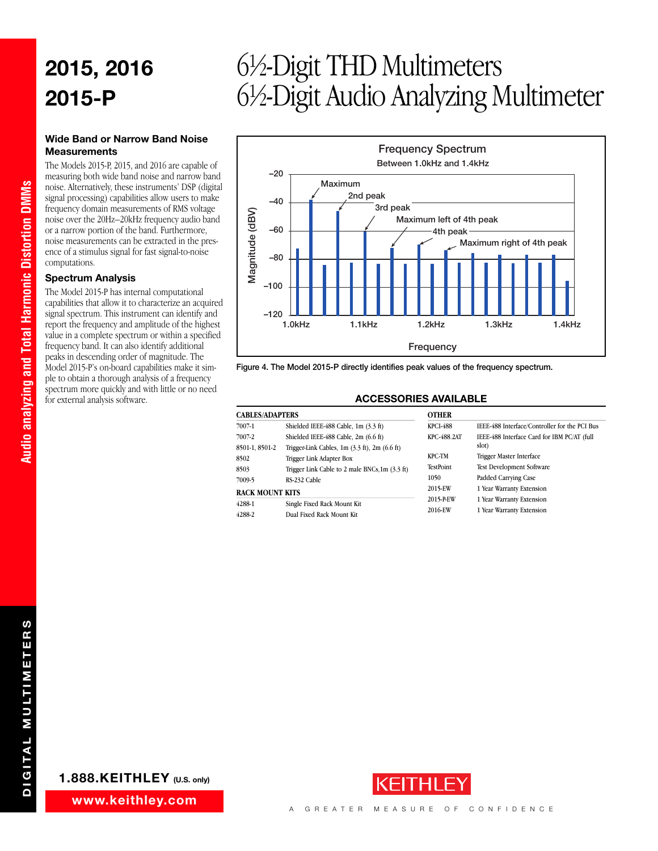### **Wide Band or Narrow Band Noise Measurements**

The Models 2015-P, 2015, and 2016 are capable of measuring both wide band noise and narrow band noise. Alternatively, these instruments' DSP (digital signal processing) capabilities allow users to make frequency domain measurements of RMS voltage noise over the 20Hz–20kHz frequency audio band or a narrow portion of the band. Furthermore, noise measurements can be extracted in the presence of a stimulus signal for fast signal-to-noise computations.

#### **Spectrum Analysis**

**Audio analyzing and Total Harmonic Distortion DMMs**

Audio analyzing and Total Harmonic Distortion DMMs

The Model 2015-P has internal computational capabilities that allow it to characterize an acquired signal spectrum. This instrument can identify and report the frequency and amplitude of the highest value in a complete spectrum or within a specified frequency band. It can also identify additional peaks in descending order of magnitude. The Model 2015-P's on-board capabilities make it simple to obtain a thorough analysis of a frequency spectrum more quickly and with little or no need for external analysis software.

## ⁄2-Digit THD Multimeters ⁄2-Digit Audio Analyzing Multimeter



**Figure 4. The Model 2015-P directly identifies peak values of the frequency spectrum.**

#### **ACCESSORIES AVAILABLE**

| <b>CABLES/ADAPTERS</b>                    |                                                                                                | <b>OTHER</b>                                         |                                                                                                                          |  |
|-------------------------------------------|------------------------------------------------------------------------------------------------|------------------------------------------------------|--------------------------------------------------------------------------------------------------------------------------|--|
| 7007-1                                    | Shielded IEEE-488 Cable, 1m (3.3 ft)                                                           | KPCI-488                                             | IEEE-488 Interface/Controller for the PCI Bus                                                                            |  |
| 7007-2<br>8501-1, 8501-2                  | Shielded IEEE-488 Cable, 2m (6.6 ft)<br>Trigger-Link Cables, $1m$ $(3.3 ft)$ , $2m$ $(6.6 ft)$ | KPC-488.2AT                                          | IEEE-488 Interface Card for IBM PC/AT (full<br>slot)                                                                     |  |
| 8502<br>8503<br>7009-5<br>RACK MOUNT KITS | Trigger Link Adapter Box<br>Trigger Link Cable to 2 male BNCs, 1m (3.3 ft)<br>RS-232 Cable     | <b>KPC-TM</b><br><b>TestPoint</b><br>1050<br>2015-EW | <b>Trigger Master Interface</b><br><b>Test Development Software</b><br>Padded Carrying Case<br>1 Year Warranty Extension |  |
| 4288-1<br>4288-2                          | Single Fixed Rack Mount Kit<br>Dual Fixed Rack Mount Kit                                       | 2015-PEW<br>2016-EW                                  | 1 Year Warranty Extension<br>1 Year Warranty Extension                                                                   |  |



**www.keithley.com**

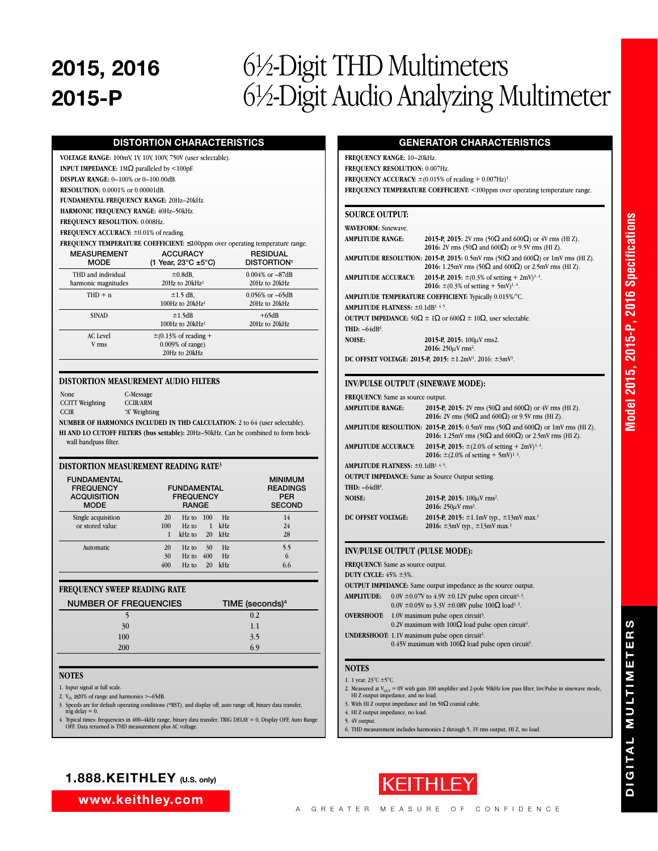## ⁄2-Digit THD Multimeters ⁄2-Digit Audio Analyzing Multimeter

## **DISTORTION CHARACTERISTICS**

**VOLTAGE RANGE:** 100mV, 1V, 10V, 100V, 750V (user selectable). **INPUT IMPEDANCE:** 1MΩ paralleled by <100pF.

**DISPLAY RANGE:** 0–100% or 0–100.00dB.

**RESOLUTION:** 0.0001% or 0.00001dB.

**FUNDAMENTAL FREQUENCY RANGE:** 20Hz–20kHz.

**HARMONIC FREQUENCY RANGE:** 40Hz–50kHz.

**FREQUENCY RESOLUTION:** 0.008Hz.

**FREQUENCY ACCURACY:** ±0.01% of reading. **FREQUENCY TEMPERATURE COEFFICIENT:** 

| $r$ requested the network of $r$ is a subsequence of $r$ is a set $r$ is a set $r$ is a set $r$ and $r$ |                                                                   |                                                  |  |  |  |
|---------------------------------------------------------------------------------------------------------|-------------------------------------------------------------------|--------------------------------------------------|--|--|--|
| <b>MEASUREMENT</b><br><b>MODE</b>                                                                       | <b>ACCURACY</b><br>(1 Year, 23 $\degree$ C ±5 $\degree$ C)        | <b>RESIDUAL</b><br><b>DISTORTION<sup>1</sup></b> |  |  |  |
| THD and individual<br>harmonic magnitudes                                                               | $\pm 0.8$ dB,<br>20Hz to 20kHz <sup>2</sup>                       | $0.004\%$ or $-87dB$<br>20Hz to 20kHz            |  |  |  |
| $THD + n$                                                                                               | $\pm 1.5$ dB,<br>100Hz to $20kHz^2$                               | $0.056\%$ or $-65dB$<br>20Hz to 20kHz            |  |  |  |
| <b>SINAD</b>                                                                                            | $\pm 1.5$ dB<br>100Hz to $20kHz^2$                                | $+65dB$<br>20Hz to 20kHz                         |  |  |  |
| <b>AC</b> Level<br>V rms                                                                                | $\pm$ (0.13% of reading +<br>$0.009\%$ of range)<br>20Hz to 20kHz |                                                  |  |  |  |

#### **DISTORTION MEASUREMENT AUDIO FILTERS**

None C-Message<br>CCITT Weighting CCIR/ARM CCITT Weighting<br>CCIR "A" Weighting

**NUMBER OF HARMONICS INCLUDED IN THD CALCULATION:** 2 to 64 (user selectable). **HI AND LO CUTOFF FILTERS (bus settable):** 20Hz–50kHz. Can be combined to form brick-

wall bandpass filter.

### **DISTORTION MEASUREMENT READING RATE3**

| <b>FUNDAMENTAL</b><br><b>FREQUENCY</b><br><b>ACQUISITION</b><br><b>MODE</b> | <b>FUNDAMENTAL</b><br><b>FREQUENCY</b><br><b>RANGE</b> |                                |                 | <b>MINIMUM</b><br><b>READINGS</b><br><b>PER</b><br><b>SECOND</b> |                          |
|-----------------------------------------------------------------------------|--------------------------------------------------------|--------------------------------|-----------------|------------------------------------------------------------------|--------------------------|
| Single acquisition<br>or stored value                                       | 20<br>100                                              | $Hz$ to<br>$Hz$ to<br>$kHz$ to | 100<br>1<br>20  | Hz.<br>kHz<br>kHz                                                | 14<br>24<br>28           |
| Automatic                                                                   | 20<br>30<br>400                                        | $Hz$ to<br>$Hz$ to<br>$Hz$ to  | 30<br>400<br>20 | Hz.<br>Hz.<br>kHz                                                | 5.5<br>$\epsilon$<br>6.6 |

#### **FREQUENCY SWEEP READING RATE**

| <b>NUMBER OF FREQUENCIES</b> | TIME (seconds) <sup>4</sup> |
|------------------------------|-----------------------------|
|                              | 0.2                         |
| 30                           | 1.1                         |
| 100                          | 3.5                         |
| 200                          | 6.9                         |
|                              |                             |

#### **NOTES**

1. Input signal at full scale.

- 2.  $V_{\text{IN}} \ge 20\%$  of range and harmonics >–65dB.
- 3. Speeds are for default operating conditions (\*RST), and display off, auto range off, binary data transfer, trig delay = 0.
- 4. Typical times: frequencies in 400–4kHz range, binary data transfer, TRIG DELAY = 0, Display OFF, Auto Range OFF. Data returned is THD measurement plus AC voltage.

## **GENERATOR CHARACTERISTICS**

**FREQUENCY RANGE:** 10–20kHz. **FREQUENCY RESOLUTION:** 0.007Hz. **FREQUENCY ACCURACY:**  $\pm (0.015\% \text{ of reading} + 0.007 \text{Hz})^1$ . FREQUENCY TEMPERATURE COEFFICIENT: <100ppm over operating temperature range.

### **SOURCE OUTPUT:**

| <b>WAVEFORM: Sinewave.</b>                                   |                                                                                                                                                                                  |
|--------------------------------------------------------------|----------------------------------------------------------------------------------------------------------------------------------------------------------------------------------|
| <b>AMPLITUDE RANGE:</b>                                      | 2015-P, 2015: 2V rms (50 $\Omega$ and 600 $\Omega$ ) or 4V rms (HI Z).<br>2016: 2V rms (50 $\Omega$ and 600 $\Omega$ ) or 9.5V rms (HI Z).                                       |
|                                                              | <b>AMPLITUDE RESOLUTION: 2015-P, 2015:</b> 0.5mV rms (50 $\Omega$ and 600 $\Omega$ ) or 1mV rms (HI Z).<br>2016: 1.25mV rms (50 $\Omega$ and 600 $\Omega$ ) or 2.5mV rms (HI Z). |
| <b>AMPLITUDE ACCURACY:</b>                                   | 2015-P, 2015: $\pm (0.3\% \text{ of setting} + 2 \text{mV})^{1.4}$ .<br>2016: $\pm (0.3\% \text{ of setting} + 5 \text{mV})^{1.4}$ .                                             |
|                                                              | AMPLITUDE TEMPERATURE COEFFICIENT: Typically 0.015%/°C.                                                                                                                          |
| <b>AMPLITUDE FLATNESS:</b> $\pm 0.1$ dB <sup>1, 4, 5</sup> . |                                                                                                                                                                                  |
|                                                              | OUTPUT IMPEDANCE: $50\Omega \pm 1\Omega$ or $600\Omega \pm 10\Omega$ , user selectable.                                                                                          |
| THD: $-64dB6$ .                                              |                                                                                                                                                                                  |
| <b>NOISE:</b>                                                | 2015-P, 2015: $100 \mu$ V rms2.                                                                                                                                                  |
|                                                              | 2016: $250 \mu V$ rms <sup>2</sup> .                                                                                                                                             |
|                                                              | DC OFFSET VOLTAGE: 2015-P, 2015: $\pm 1.2$ mV <sup>1</sup> . 2016: $\pm 3$ mV <sup>1</sup> .                                                                                     |

#### **INV/PULSE OUTPUT (SINEWAVE MODE):**

| <b>FREQUENCY:</b> Same as source output.                     |                                                                                                                                                                                      |
|--------------------------------------------------------------|--------------------------------------------------------------------------------------------------------------------------------------------------------------------------------------|
| <b>AMPLITUDE RANGE:</b>                                      | 2015-P, 2015: 2V rms (50 $\Omega$ and 600 $\Omega$ ) or 4V rms (HI Z).<br>2016: 2V rms (50 $\Omega$ and 600 $\Omega$ ) or 9.5V rms (HI Z).                                           |
|                                                              | <b>AMPLITUDE RESOLUTION:</b> 2015-P, 2015: 0.5mV rms $(50\Omega \text{ and } 600\Omega)$ or 1mV rms (HI Z).<br>2016: 1.25mV rms (50 $\Omega$ and 600 $\Omega$ ) or 2.5mV rms (HI Z). |
| <b>AMPLITUDE ACCURACY:</b>                                   | 2015-P, 2015: $\pm$ (2.0% of setting + 2mV) <sup>1, 4</sup> .<br>2016: $\pm$ (2.0% of setting + 5mV) <sup>1, 4</sup> .                                                               |
| <b>AMPLITUDE FLATNESS:</b> $\pm 0.1$ dB <sup>1, 4, 5</sup> . |                                                                                                                                                                                      |
| <b>OUTPUT IMPEDANCE:</b> Same as Source Output setting.      |                                                                                                                                                                                      |
| THD: $-64dB6$ .                                              |                                                                                                                                                                                      |
| <b>NOISE:</b>                                                | 2015-P, 2015: $100 \mu V$ rms <sup>2</sup> .<br>2016: $250 \mu V$ rms <sup>2</sup> .                                                                                                 |
| DC OFFSET VOLTAGE:                                           | 2015-P, 2015: $\pm 1.1$ mV typ., $\pm 13$ mV max. <sup>1</sup><br>2016: $\pm 3$ mV typ., $\pm 13$ mV max. <sup>1</sup>                                                               |

#### **INV/PULSE OUTPUT (PULSE MODE):**

## **FREQUENCY:** Same as source output.

**DUTY CYCLE:** 45% ±3%.

|                   | <b>OUTPUT IMPEDANCE:</b> Same output impedance as the source output.                                                                        |
|-------------------|---------------------------------------------------------------------------------------------------------------------------------------------|
| <b>AMPLITUDE:</b> | $0.0V \pm 0.07V$ to 4.9V $\pm 0.12V$ pulse open circuit <sup>1, 3</sup> .                                                                   |
|                   | $0.0V \pm 0.05V$ to 3.3V $\pm 0.08V$ pulse 100 $\Omega$ load <sup>1,3</sup> .                                                               |
| <b>OVERSHOOT:</b> | $1.0V$ maximum pulse open circuit <sup>3</sup> .<br>0.2V maximum with $100\Omega$ load pulse open circuit <sup>3</sup> .                    |
|                   | <b>UNDERSHOOT:</b> 1.1V maximum pulse open circuit <sup>3</sup> .<br>0.45V maximum with 100 $\Omega$ load pulse open circuit <sup>3</sup> . |

#### **NOTES**

1. 1 year, 23°C ±5°C.

2. Measured at  $V_{\text{OUT}} = 0V$  with gain 100 amplifier and 2-pole 50kHz low pass filter, Inv/Pulse in sinewave mode, HI Z output impedance, and no load. 3. With HI Z output impedance and 1m 50Ω coaxial cable.

- 
- 4. HI Z output impedance, no load.
- 5. 4V output.
- 6. THD measurement includes harmonics 2 through 5, 1V rms output, HI Z, no load.



**www.keithley.com**